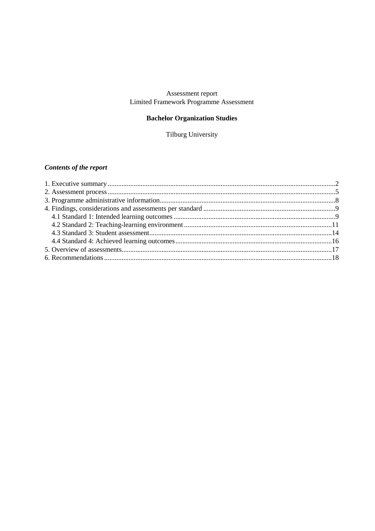# Assessment report<br>Limited Framework Programme Assessment

### **Bachelor Organization Studies**

Tilburg University

## **Contents of the report**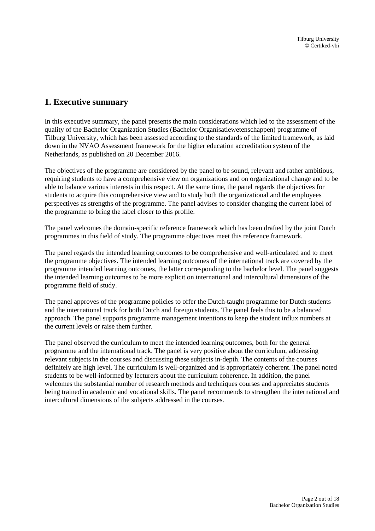## <span id="page-1-0"></span>**1. Executive summary**

In this executive summary, the panel presents the main considerations which led to the assessment of the quality of the Bachelor Organization Studies (Bachelor Organisatiewetenschappen) programme of Tilburg University, which has been assessed according to the standards of the limited framework, as laid down in the NVAO Assessment framework for the higher education accreditation system of the Netherlands, as published on 20 December 2016.

The objectives of the programme are considered by the panel to be sound, relevant and rather ambitious, requiring students to have a comprehensive view on organizations and on organizational change and to be able to balance various interests in this respect. At the same time, the panel regards the objectives for students to acquire this comprehensive view and to study both the organizational and the employees perspectives as strengths of the programme. The panel advises to consider changing the current label of the programme to bring the label closer to this profile.

The panel welcomes the domain-specific reference framework which has been drafted by the joint Dutch programmes in this field of study. The programme objectives meet this reference framework.

The panel regards the intended learning outcomes to be comprehensive and well-articulated and to meet the programme objectives. The intended learning outcomes of the international track are covered by the programme intended learning outcomes, the latter corresponding to the bachelor level. The panel suggests the intended learning outcomes to be more explicit on international and intercultural dimensions of the programme field of study.

The panel approves of the programme policies to offer the Dutch-taught programme for Dutch students and the international track for both Dutch and foreign students. The panel feels this to be a balanced approach. The panel supports programme management intentions to keep the student influx numbers at the current levels or raise them further.

The panel observed the curriculum to meet the intended learning outcomes, both for the general programme and the international track. The panel is very positive about the curriculum, addressing relevant subjects in the courses and discussing these subjects in-depth. The contents of the courses definitely are high level. The curriculum is well-organized and is appropriately coherent. The panel noted students to be well-informed by lecturers about the curriculum coherence. In addition, the panel welcomes the substantial number of research methods and techniques courses and appreciates students being trained in academic and vocational skills. The panel recommends to strengthen the international and intercultural dimensions of the subjects addressed in the courses.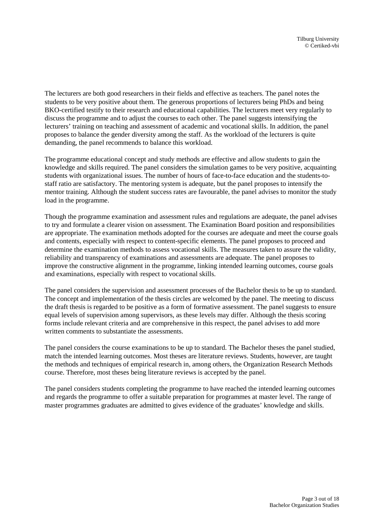The lecturers are both good researchers in their fields and effective as teachers. The panel notes the students to be very positive about them. The generous proportions of lecturers being PhDs and being BKO-certified testify to their research and educational capabilities. The lecturers meet very regularly to discuss the programme and to adjust the courses to each other. The panel suggests intensifying the lecturers' training on teaching and assessment of academic and vocational skills. In addition, the panel proposes to balance the gender diversity among the staff. As the workload of the lecturers is quite demanding, the panel recommends to balance this workload.

The programme educational concept and study methods are effective and allow students to gain the knowledge and skills required. The panel considers the simulation games to be very positive, acquainting students with organizational issues. The number of hours of face-to-face education and the students-tostaff ratio are satisfactory. The mentoring system is adequate, but the panel proposes to intensify the mentor training. Although the student success rates are favourable, the panel advises to monitor the study load in the programme.

Though the programme examination and assessment rules and regulations are adequate, the panel advises to try and formulate a clearer vision on assessment. The Examination Board position and responsibilities are appropriate. The examination methods adopted for the courses are adequate and meet the course goals and contents, especially with respect to content-specific elements. The panel proposes to proceed and determine the examination methods to assess vocational skills. The measures taken to assure the validity, reliability and transparency of examinations and assessments are adequate. The panel proposes to improve the constructive alignment in the programme, linking intended learning outcomes, course goals and examinations, especially with respect to vocational skills.

The panel considers the supervision and assessment processes of the Bachelor thesis to be up to standard. The concept and implementation of the thesis circles are welcomed by the panel. The meeting to discuss the draft thesis is regarded to be positive as a form of formative assessment. The panel suggests to ensure equal levels of supervision among supervisors, as these levels may differ. Although the thesis scoring forms include relevant criteria and are comprehensive in this respect, the panel advises to add more written comments to substantiate the assessments.

The panel considers the course examinations to be up to standard. The Bachelor theses the panel studied, match the intended learning outcomes. Most theses are literature reviews. Students, however, are taught the methods and techniques of empirical research in, among others, the Organization Research Methods course. Therefore, most theses being literature reviews is accepted by the panel.

The panel considers students completing the programme to have reached the intended learning outcomes and regards the programme to offer a suitable preparation for programmes at master level. The range of master programmes graduates are admitted to gives evidence of the graduates' knowledge and skills.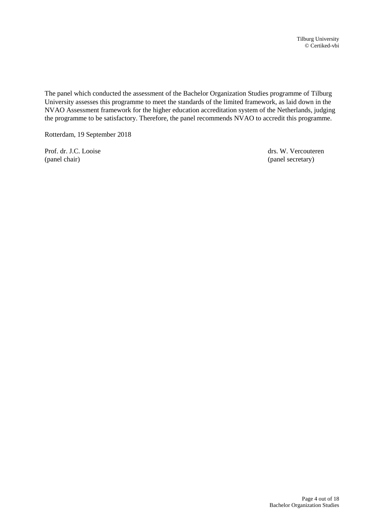The panel which conducted the assessment of the Bachelor Organization Studies programme of Tilburg University assesses this programme to meet the standards of the limited framework, as laid down in the NVAO Assessment framework for the higher education accreditation system of the Netherlands, judging the programme to be satisfactory. Therefore, the panel recommends NVAO to accredit this programme.

Rotterdam, 19 September 2018

Prof. dr. J.C. Looise drs. W. Vercouteren (panel chair) (panel secretary)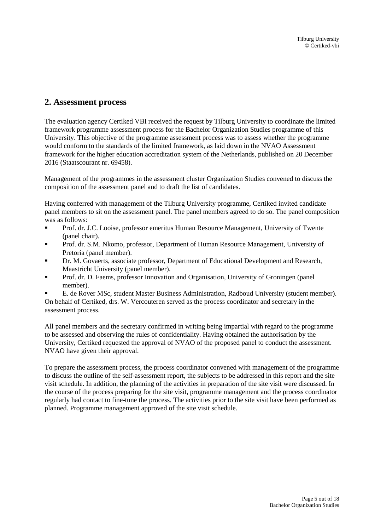## <span id="page-4-0"></span>**2. Assessment process**

The evaluation agency Certiked VBI received the request by Tilburg University to coordinate the limited framework programme assessment process for the Bachelor Organization Studies programme of this University. This objective of the programme assessment process was to assess whether the programme would conform to the standards of the limited framework, as laid down in the NVAO Assessment framework for the higher education accreditation system of the Netherlands, published on 20 December 2016 (Staatscourant nr. 69458).

Management of the programmes in the assessment cluster Organization Studies convened to discuss the composition of the assessment panel and to draft the list of candidates.

Having conferred with management of the Tilburg University programme, Certiked invited candidate panel members to sit on the assessment panel. The panel members agreed to do so. The panel composition was as follows:

- Prof. dr. J.C. Looise, professor emeritus Human Resource Management, University of Twente (panel chair).
- Prof. dr. S.M. Nkomo, professor, Department of Human Resource Management, University of Pretoria (panel member).
- Dr. M. Govaerts, associate professor, Department of Educational Development and Research, Maastricht University (panel member).
- Prof. dr. D. Faems, professor Innovation and Organisation, University of Groningen (panel member).

 E. de Rover MSc, student Master Business Administration, Radboud University (student member). On behalf of Certiked, drs. W. Vercouteren served as the process coordinator and secretary in the assessment process.

All panel members and the secretary confirmed in writing being impartial with regard to the programme to be assessed and observing the rules of confidentiality. Having obtained the authorisation by the University, Certiked requested the approval of NVAO of the proposed panel to conduct the assessment. NVAO have given their approval.

To prepare the assessment process, the process coordinator convened with management of the programme to discuss the outline of the self-assessment report, the subjects to be addressed in this report and the site visit schedule. In addition, the planning of the activities in preparation of the site visit were discussed. In the course of the process preparing for the site visit, programme management and the process coordinator regularly had contact to fine-tune the process. The activities prior to the site visit have been performed as planned. Programme management approved of the site visit schedule.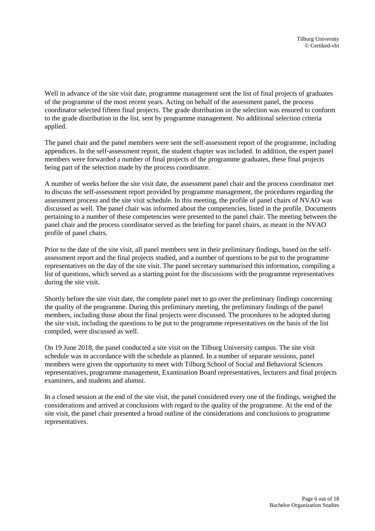Well in advance of the site visit date, programme management sent the list of final projects of graduates of the programme of the most recent years. Acting on behalf of the assessment panel, the process coordinator selected fifteen final projects. The grade distribution in the selection was ensured to conform to the grade distribution in the list, sent by programme management. No additional selection criteria applied.

The panel chair and the panel members were sent the self-assessment report of the programme, including appendices. In the self-assessment report, the student chapter was included. In addition, the expert panel members were forwarded a number of final projects of the programme graduates, these final projects being part of the selection made by the process coordinator.

A number of weeks before the site visit date, the assessment panel chair and the process coordinator met to discuss the self-assessment report provided by programme management, the procedures regarding the assessment process and the site visit schedule. In this meeting, the profile of panel chairs of NVAO was discussed as well. The panel chair was informed about the competencies, listed in the profile. Documents pertaining to a number of these competencies were presented to the panel chair. The meeting between the panel chair and the process coordinator served as the briefing for panel chairs, as meant in the NVAO profile of panel chairs.

Prior to the date of the site visit, all panel members sent in their preliminary findings, based on the selfassessment report and the final projects studied, and a number of questions to be put to the programme representatives on the day of the site visit. The panel secretary summarised this information, compiling a list of questions, which served as a starting point for the discussions with the programme representatives during the site visit.

Shortly before the site visit date, the complete panel met to go over the preliminary findings concerning the quality of the programme. During this preliminary meeting, the preliminary findings of the panel members, including those about the final projects were discussed. The procedures to be adopted during the site visit, including the questions to be put to the programme representatives on the basis of the list compiled, were discussed as well.

On 19 June 2018, the panel conducted a site visit on the Tilburg University campus. The site visit schedule was in accordance with the schedule as planned. In a number of separate sessions, panel members were given the opportunity to meet with Tilburg School of Social and Behavioral Sciences representatives, programme management, Examination Board representatives, lecturers and final projects examiners, and students and alumni.

In a closed session at the end of the site visit, the panel considered every one of the findings, weighed the considerations and arrived at conclusions with regard to the quality of the programme. At the end of the site visit, the panel chair presented a broad outline of the considerations and conclusions to programme representatives.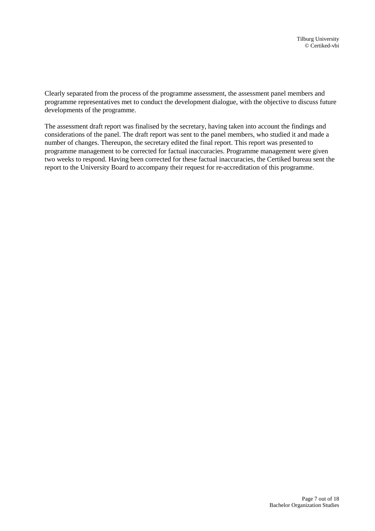Clearly separated from the process of the programme assessment, the assessment panel members and programme representatives met to conduct the development dialogue, with the objective to discuss future developments of the programme.

The assessment draft report was finalised by the secretary, having taken into account the findings and considerations of the panel. The draft report was sent to the panel members, who studied it and made a number of changes. Thereupon, the secretary edited the final report. This report was presented to programme management to be corrected for factual inaccuracies. Programme management were given two weeks to respond. Having been corrected for these factual inaccuracies, the Certiked bureau sent the report to the University Board to accompany their request for re-accreditation of this programme.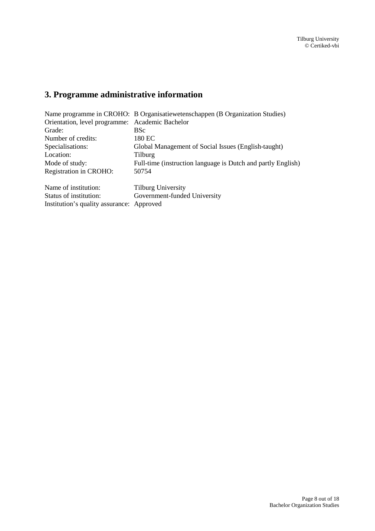# <span id="page-7-0"></span>**3. Programme administrative information**

|                                                 | Name programme in CROHO: B Organisatiewetenschappen (B Organization Studies) |  |
|-------------------------------------------------|------------------------------------------------------------------------------|--|
| Orientation, level programme: Academic Bachelor |                                                                              |  |
| Grade:                                          | <b>BSc</b>                                                                   |  |
| Number of credits:                              | 180 EC                                                                       |  |
| Specialisations:                                | Global Management of Social Issues (English-taught)                          |  |
| Location:                                       | Tilburg                                                                      |  |
| Mode of study:                                  | Full-time (instruction language is Dutch and partly English)                 |  |
| Registration in CROHO:                          | 50754                                                                        |  |
| Name of institution:                            | <b>Tilburg University</b>                                                    |  |
| Status of institution:                          | Government-funded University                                                 |  |
| Institution's quality assurance: Approved       |                                                                              |  |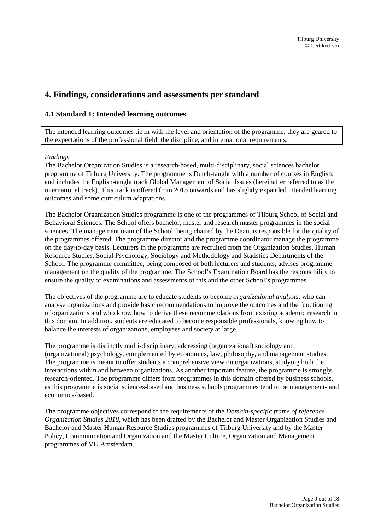## <span id="page-8-0"></span>**4. Findings, considerations and assessments per standard**

#### <span id="page-8-1"></span>**4.1 Standard 1: Intended learning outcomes**

The intended learning outcomes tie in with the level and orientation of the programme; they are geared to the expectations of the professional field, the discipline, and international requirements.

#### *Findings*

The Bachelor Organization Studies is a research-based, multi-disciplinary, social sciences bachelor programme of Tilburg University. The programme is Dutch-taught with a number of courses in English, and includes the English-taught track Global Management of Social Issues (hereinafter referred to as the international track). This track is offered from 2015 onwards and has slightly expanded intended learning outcomes and some curriculum adaptations.

The Bachelor Organization Studies programme is one of the programmes of Tilburg School of Social and Behavioral Sciences. The School offers bachelor, master and research master programmes in the social sciences. The management team of the School, being chaired by the Dean, is responsible for the quality of the programmes offered. The programme director and the programme coordinator manage the programme on the day-to-day basis. Lecturers in the programme are recruited from the Organization Studies, Human Resource Studies, Social Psychology, Sociology and Methodology and Statistics Departments of the School. The programme committee, being composed of both lecturers and students, advises programme management on the quality of the programme. The School's Examination Board has the responsibility to ensure the quality of examinations and assessments of this and the other School's programmes.

The objectives of the programme are to educate students to become *organizational analysts*, who can analyse organizations and provide basic recommendations to improve the outcomes and the functioning of organizations and who know how to derive these recommendations from existing academic research in this domain. In addition, students are educated to become responsible professionals, knowing how to balance the interests of organizations, employees and society at large.

The programme is distinctly multi-disciplinary, addressing (organizational) sociology and (organizational) psychology, complemented by economics, law, philosophy, and management studies. The programme is meant to offer students a comprehensive view on organizations, studying both the interactions within and between organizations. As another important feature, the programme is strongly research-oriented. The programme differs from programmes in this domain offered by business schools, as this programme is social sciences-based and business schools programmes tend to be management- and economics-based.

The programme objectives correspond to the requirements of the *Domain-specific frame of reference Organization Studies 2018*, which has been drafted by the Bachelor and Master Organization Studies and Bachelor and Master Human Resource Studies programmes of Tilburg University and by the Master Policy, Communication and Organization and the Master Culture, Organization and Management programmes of VU Amsterdam.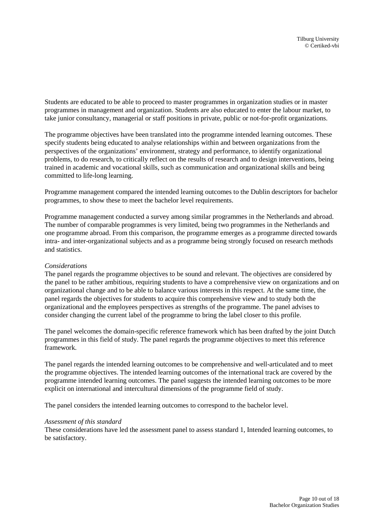Students are educated to be able to proceed to master programmes in organization studies or in master programmes in management and organization. Students are also educated to enter the labour market, to take junior consultancy, managerial or staff positions in private, public or not-for-profit organizations.

The programme objectives have been translated into the programme intended learning outcomes. These specify students being educated to analyse relationships within and between organizations from the perspectives of the organizations' environment, strategy and performance, to identify organizational problems, to do research, to critically reflect on the results of research and to design interventions, being trained in academic and vocational skills, such as communication and organizational skills and being committed to life-long learning.

Programme management compared the intended learning outcomes to the Dublin descriptors for bachelor programmes, to show these to meet the bachelor level requirements.

Programme management conducted a survey among similar programmes in the Netherlands and abroad. The number of comparable programmes is very limited, being two programmes in the Netherlands and one programme abroad. From this comparison, the programme emerges as a programme directed towards intra- and inter-organizational subjects and as a programme being strongly focused on research methods and statistics.

#### *Considerations*

The panel regards the programme objectives to be sound and relevant. The objectives are considered by the panel to be rather ambitious, requiring students to have a comprehensive view on organizations and on organizational change and to be able to balance various interests in this respect. At the same time, the panel regards the objectives for students to acquire this comprehensive view and to study both the organizational and the employees perspectives as strengths of the programme. The panel advises to consider changing the current label of the programme to bring the label closer to this profile.

The panel welcomes the domain-specific reference framework which has been drafted by the joint Dutch programmes in this field of study. The panel regards the programme objectives to meet this reference framework.

The panel regards the intended learning outcomes to be comprehensive and well-articulated and to meet the programme objectives. The intended learning outcomes of the international track are covered by the programme intended learning outcomes. The panel suggests the intended learning outcomes to be more explicit on international and intercultural dimensions of the programme field of study.

The panel considers the intended learning outcomes to correspond to the bachelor level.

#### *Assessment of this standard*

These considerations have led the assessment panel to assess standard 1, Intended learning outcomes, to be satisfactory.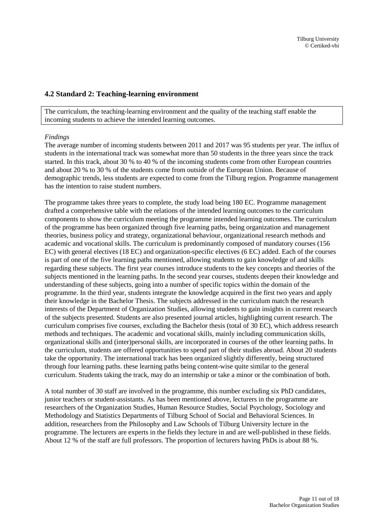#### <span id="page-10-0"></span>**4.2 Standard 2: Teaching-learning environment**

The curriculum, the teaching-learning environment and the quality of the teaching staff enable the incoming students to achieve the intended learning outcomes.

#### *Findings*

The average number of incoming students between 2011 and 2017 was 95 students per year. The influx of students in the international track was somewhat more than 50 students in the three years since the track started. In this track, about 30 % to 40 % of the incoming students come from other European countries and about 20 % to 30 % of the students come from outside of the European Union. Because of demographic trends, less students are expected to come from the Tilburg region. Programme management has the intention to raise student numbers.

The programme takes three years to complete, the study load being 180 EC. Programme management drafted a comprehensive table with the relations of the intended learning outcomes to the curriculum components to show the curriculum meeting the programme intended learning outcomes. The curriculum of the programme has been organized through five learning paths, being organization and management theories, business policy and strategy, organizational behaviour, organizational research methods and academic and vocational skills. The curriculum is predominantly composed of mandatory courses (156 EC) with general electives (18 EC) and organization-specific electives (6 EC) added. Each of the courses is part of one of the five learning paths mentioned, allowing students to gain knowledge of and skills regarding these subjects. The first year courses introduce students to the key concepts and theories of the subjects mentioned in the learning paths. In the second year courses, students deepen their knowledge and understanding of these subjects, going into a number of specific topics within the domain of the programme. In the third year, students integrate the knowledge acquired in the first two years and apply their knowledge in the Bachelor Thesis. The subjects addressed in the curriculum match the research interests of the Department of Organization Studies, allowing students to gain insights in current research of the subjects presented. Students are also presented journal articles, highlighting current research. The curriculum comprises five courses, excluding the Bachelor thesis (total of 30 EC), which address research methods and techniques. The academic and vocational skills, mainly including communication skills, organizational skills and (inter)personal skills, are incorporated in courses of the other learning paths. In the curriculum, students are offered opportunities to spend part of their studies abroad. About 20 students take the opportunity. The international track has been organized slightly differently, being structured through four learning paths. these learning paths being content-wise quite similar to the general curriculum. Students taking the track, may do an internship or take a minor or the combination of both.

A total number of 30 staff are involved in the programme, this number excluding six PhD candidates, junior teachers or student-assistants. As has been mentioned above, lecturers in the programme are researchers of the Organization Studies, Human Resource Studies, Social Psychology, Sociology and Methodology and Statistics Departments of Tilburg School of Social and Behavioral Sciences. In addition, researchers from the Philosophy and Law Schools of Tilburg University lecture in the programme. The lecturers are experts in the fields they lecture in and are well-published in these fields. About 12 % of the staff are full professors. The proportion of lecturers having PhDs is about 88 %.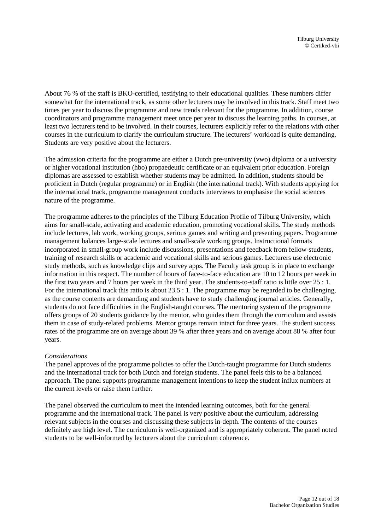About 76 % of the staff is BKO-certified, testifying to their educational qualities. These numbers differ somewhat for the international track, as some other lecturers may be involved in this track. Staff meet two times per year to discuss the programme and new trends relevant for the programme. In addition, course coordinators and programme management meet once per year to discuss the learning paths. In courses, at least two lecturers tend to be involved. In their courses, lecturers explicitly refer to the relations with other courses in the curriculum to clarify the curriculum structure. The lecturers' workload is quite demanding. Students are very positive about the lecturers.

The admission criteria for the programme are either a Dutch pre-university (vwo) diploma or a university or higher vocational institution (hbo) propaedeutic certificate or an equivalent prior education. Foreign diplomas are assessed to establish whether students may be admitted. In addition, students should be proficient in Dutch (regular programme) or in English (the international track). With students applying for the international track, programme management conducts interviews to emphasise the social sciences nature of the programme.

The programme adheres to the principles of the Tilburg Education Profile of Tilburg University, which aims for small-scale, activating and academic education, promoting vocational skills. The study methods include lectures, lab work, working groups, serious games and writing and presenting papers. Programme management balances large-scale lectures and small-scale working groups. Instructional formats incorporated in small-group work include discussions, presentations and feedback from fellow-students, training of research skills or academic and vocational skills and serious games. Lecturers use electronic study methods, such as knowledge clips and survey apps. The Faculty task group is in place to exchange information in this respect. The number of hours of face-to-face education are 10 to 12 hours per week in the first two years and 7 hours per week in the third year. The students-to-staff ratio is little over 25 : 1. For the international track this ratio is about 23.5 : 1. The programme may be regarded to be challenging, as the course contents are demanding and students have to study challenging journal articles. Generally, students do not face difficulties in the English-taught courses. The mentoring system of the programme offers groups of 20 students guidance by the mentor, who guides them through the curriculum and assists them in case of study-related problems. Mentor groups remain intact for three years. The student success rates of the programme are on average about 39 % after three years and on average about 88 % after four years.

#### *Considerations*

The panel approves of the programme policies to offer the Dutch-taught programme for Dutch students and the international track for both Dutch and foreign students. The panel feels this to be a balanced approach. The panel supports programme management intentions to keep the student influx numbers at the current levels or raise them further.

The panel observed the curriculum to meet the intended learning outcomes, both for the general programme and the international track. The panel is very positive about the curriculum, addressing relevant subjects in the courses and discussing these subjects in-depth. The contents of the courses definitely are high level. The curriculum is well-organized and is appropriately coherent. The panel noted students to be well-informed by lecturers about the curriculum coherence.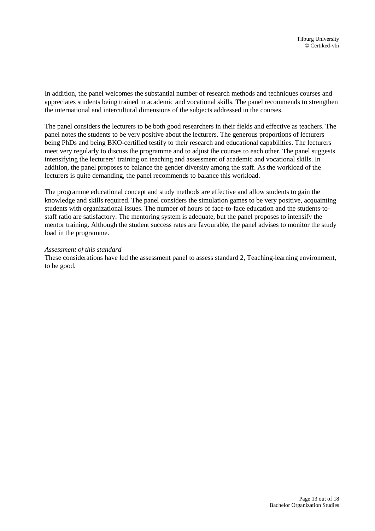In addition, the panel welcomes the substantial number of research methods and techniques courses and appreciates students being trained in academic and vocational skills. The panel recommends to strengthen the international and intercultural dimensions of the subjects addressed in the courses.

The panel considers the lecturers to be both good researchers in their fields and effective as teachers. The panel notes the students to be very positive about the lecturers. The generous proportions of lecturers being PhDs and being BKO-certified testify to their research and educational capabilities. The lecturers meet very regularly to discuss the programme and to adjust the courses to each other. The panel suggests intensifying the lecturers' training on teaching and assessment of academic and vocational skills. In addition, the panel proposes to balance the gender diversity among the staff. As the workload of the lecturers is quite demanding, the panel recommends to balance this workload.

The programme educational concept and study methods are effective and allow students to gain the knowledge and skills required. The panel considers the simulation games to be very positive, acquainting students with organizational issues. The number of hours of face-to-face education and the students-tostaff ratio are satisfactory. The mentoring system is adequate, but the panel proposes to intensify the mentor training. Although the student success rates are favourable, the panel advises to monitor the study load in the programme.

#### *Assessment of this standard*

These considerations have led the assessment panel to assess standard 2, Teaching-learning environment, to be good.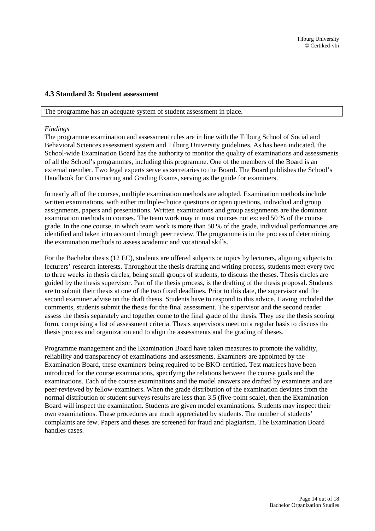#### <span id="page-13-0"></span>**4.3 Standard 3: Student assessment**

#### The programme has an adequate system of student assessment in place.

#### *Findings*

The programme examination and assessment rules are in line with the Tilburg School of Social and Behavioral Sciences assessment system and Tilburg University guidelines. As has been indicated, the School-wide Examination Board has the authority to monitor the quality of examinations and assessments of all the School's programmes, including this programme. One of the members of the Board is an external member. Two legal experts serve as secretaries to the Board. The Board publishes the School's Handbook for Constructing and Grading Exams, serving as the guide for examiners.

In nearly all of the courses, multiple examination methods are adopted. Examination methods include written examinations, with either multiple-choice questions or open questions, individual and group assignments, papers and presentations. Written examinations and group assignments are the dominant examination methods in courses. The team work may in most courses not exceed 50 % of the course grade. In the one course, in which team work is more than 50 % of the grade, individual performances are identified and taken into account through peer review. The programme is in the process of determining the examination methods to assess academic and vocational skills.

For the Bachelor thesis (12 EC), students are offered subjects or topics by lecturers, aligning subjects to lecturers' research interests. Throughout the thesis drafting and writing process, students meet every two to three weeks in thesis circles, being small groups of students, to discuss the theses. Thesis circles are guided by the thesis supervisor. Part of the thesis process, is the drafting of the thesis proposal. Students are to submit their thesis at one of the two fixed deadlines. Prior to this date, the supervisor and the second examiner advise on the draft thesis. Students have to respond to this advice. Having included the comments, students submit the thesis for the final assessment. The supervisor and the second reader assess the thesis separately and together come to the final grade of the thesis. They use the thesis scoring form, comprising a list of assessment criteria. Thesis supervisors meet on a regular basis to discuss the thesis process and organization and to align the assessments and the grading of theses.

Programme management and the Examination Board have taken measures to promote the validity, reliability and transparency of examinations and assessments. Examiners are appointed by the Examination Board, these examiners being required to be BKO-certified. Test matrices have been introduced for the course examinations, specifying the relations between the course goals and the examinations. Each of the course examinations and the model answers are drafted by examiners and are peer-reviewed by fellow-examiners. When the grade distribution of the examination deviates from the normal distribution or student surveys results are less than 3.5 (five-point scale), then the Examination Board will inspect the examination. Students are given model examinations. Students may inspect their own examinations. These procedures are much appreciated by students. The number of students' complaints are few. Papers and theses are screened for fraud and plagiarism. The Examination Board handles cases.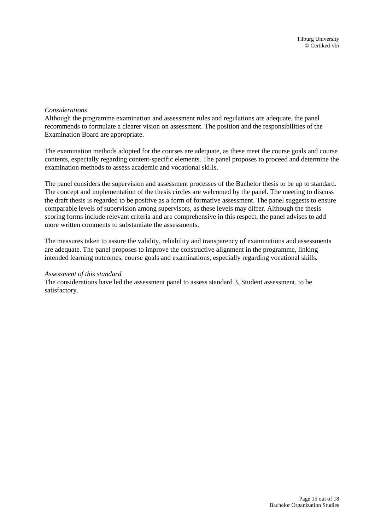#### *Considerations*

Although the programme examination and assessment rules and regulations are adequate, the panel recommends to formulate a clearer vision on assessment. The position and the responsibilities of the Examination Board are appropriate.

The examination methods adopted for the courses are adequate, as these meet the course goals and course contents, especially regarding content-specific elements. The panel proposes to proceed and determine the examination methods to assess academic and vocational skills.

The panel considers the supervision and assessment processes of the Bachelor thesis to be up to standard. The concept and implementation of the thesis circles are welcomed by the panel. The meeting to discuss the draft thesis is regarded to be positive as a form of formative assessment. The panel suggests to ensure comparable levels of supervision among supervisors, as these levels may differ. Although the thesis scoring forms include relevant criteria and are comprehensive in this respect, the panel advises to add more written comments to substantiate the assessments.

The measures taken to assure the validity, reliability and transparency of examinations and assessments are adequate. The panel proposes to improve the constructive alignment in the programme, linking intended learning outcomes, course goals and examinations, especially regarding vocational skills.

#### *Assessment of this standard*

The considerations have led the assessment panel to assess standard 3, Student assessment, to be satisfactory.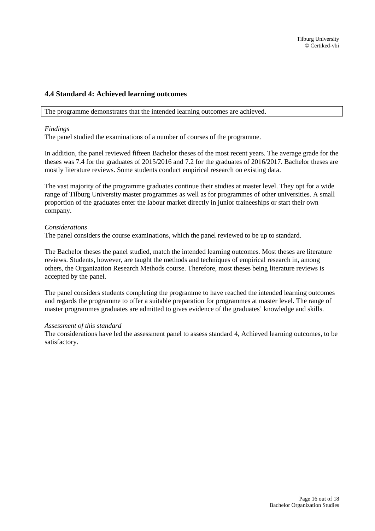#### <span id="page-15-0"></span>**4.4 Standard 4: Achieved learning outcomes**

The programme demonstrates that the intended learning outcomes are achieved.

#### *Findings*

The panel studied the examinations of a number of courses of the programme.

In addition, the panel reviewed fifteen Bachelor theses of the most recent years. The average grade for the theses was 7.4 for the graduates of 2015/2016 and 7.2 for the graduates of 2016/2017. Bachelor theses are mostly literature reviews. Some students conduct empirical research on existing data.

The vast majority of the programme graduates continue their studies at master level. They opt for a wide range of Tilburg University master programmes as well as for programmes of other universities. A small proportion of the graduates enter the labour market directly in junior traineeships or start their own company.

#### *Considerations*

The panel considers the course examinations, which the panel reviewed to be up to standard.

The Bachelor theses the panel studied, match the intended learning outcomes. Most theses are literature reviews. Students, however, are taught the methods and techniques of empirical research in, among others, the Organization Research Methods course. Therefore, most theses being literature reviews is accepted by the panel.

The panel considers students completing the programme to have reached the intended learning outcomes and regards the programme to offer a suitable preparation for programmes at master level. The range of master programmes graduates are admitted to gives evidence of the graduates' knowledge and skills.

#### *Assessment of this standard*

The considerations have led the assessment panel to assess standard 4, Achieved learning outcomes, to be satisfactory.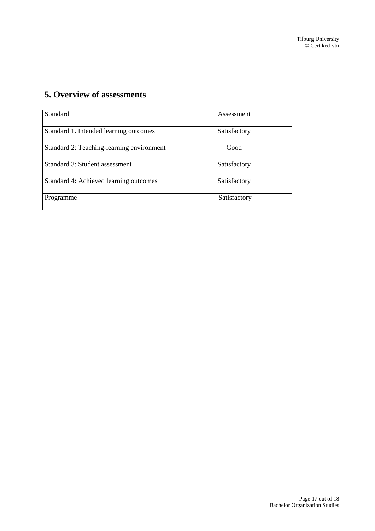## <span id="page-16-0"></span>**5. Overview of assessments**

| <b>Standard</b>                           | Assessment   |
|-------------------------------------------|--------------|
| Standard 1. Intended learning outcomes    | Satisfactory |
| Standard 2: Teaching-learning environment | Good         |
| Standard 3: Student assessment            | Satisfactory |
| Standard 4: Achieved learning outcomes    | Satisfactory |
| Programme                                 | Satisfactory |